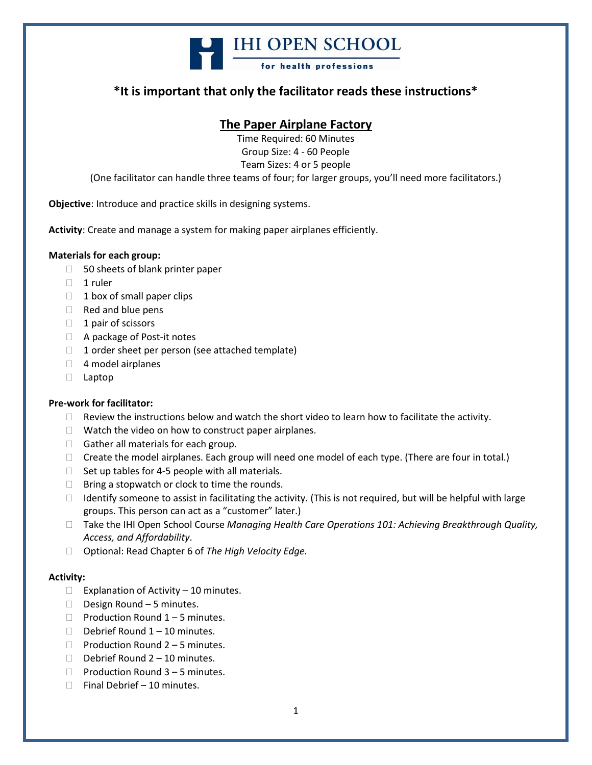

### **\*It is important that only the facilitator reads these instructions\***

### **The Paper Airplane Factory**

Time Required: 60 Minutes Group Size: 4 - 60 People Team Sizes: 4 or 5 people (One facilitator can handle three teams of four; for larger groups, you'll need more facilitators.)

**Objective**: Introduce and practice skills in designing systems.

**Activity**: Create and manage a system for making paper airplanes efficiently.

#### **Materials for each group:**

- $\Box$  50 sheets of blank printer paper
- $\Box$  1 ruler
- $\Box$  1 box of small paper clips
- $\Box$  Red and blue pens
- $\Box$  1 pair of scissors
- □ A package of Post-it notes
- $\Box$  1 order sheet per person (see attached template)
- $\Box$  4 model airplanes
- Laptop

#### **Pre-work for facilitator:**

- $\Box$  Review the instructions below and watch the short video to learn how to facilitate the activity.
- $\Box$  Watch the video on how to construct paper airplanes.
- $\Box$  Gather all materials for each group.
- $\Box$  Create the model airplanes. Each group will need one model of each type. (There are four in total.)
- $\Box$  Set up tables for 4-5 people with all materials.
- $\Box$  Bring a stopwatch or clock to time the rounds.
- $\Box$  Identify someone to assist in facilitating the activity. (This is not required, but will be helpful with large groups. This person can act as a "customer" later.)
- □ Take the IHI Open School Course *Managing Health Care Operations 101: Achieving Breakthrough Quality, Access, and Affordability*.
- Optional: Read Chapter 6 of *The High Velocity Edge.*

#### **Activity:**

- $\Box$  Explanation of Activity 10 minutes.
- $\Box$  Design Round 5 minutes.
- $\Box$  Production Round 1 5 minutes.
- Debrief Round  $1 10$  minutes.
- $\Box$  Production Round 2 5 minutes.
- Debrief Round  $2 10$  minutes.
- $\Box$  Production Round 3 5 minutes.
- $\Box$  Final Debrief 10 minutes.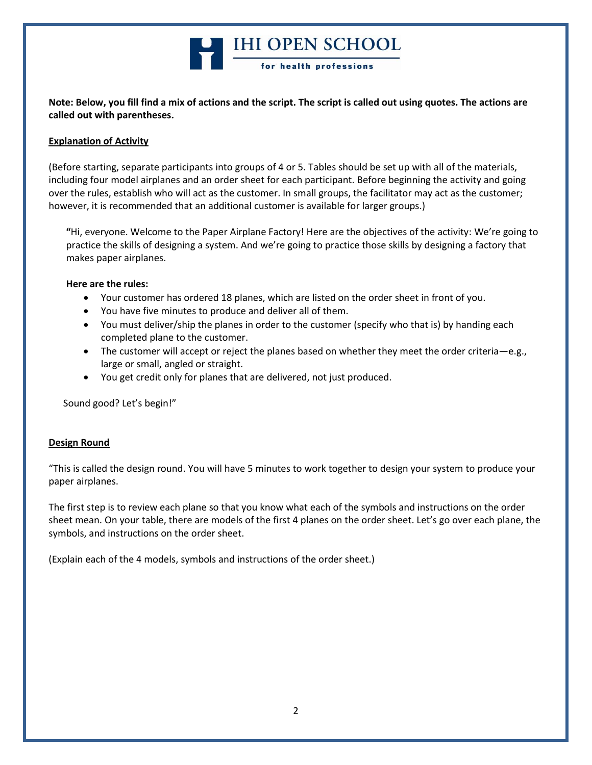

**Note: Below, you fill find a mix of actions and the script. The script is called out using quotes. The actions are called out with parentheses.**

#### **Explanation of Activity**

(Before starting, separate participants into groups of 4 or 5. Tables should be set up with all of the materials, including four model airplanes and an order sheet for each participant. Before beginning the activity and going over the rules, establish who will act as the customer. In small groups, the facilitator may act as the customer; however, it is recommended that an additional customer is available for larger groups.)

**"**Hi, everyone. Welcome to the Paper Airplane Factory! Here are the objectives of the activity: We're going to practice the skills of designing a system. And we're going to practice those skills by designing a factory that makes paper airplanes.

#### **Here are the rules:**

- Your customer has ordered 18 planes, which are listed on the order sheet in front of you.
- You have five minutes to produce and deliver all of them.
- You must deliver/ship the planes in order to the customer (specify who that is) by handing each completed plane to the customer.
- The customer will accept or reject the planes based on whether they meet the order criteria—e.g., large or small, angled or straight.
- You get credit only for planes that are delivered, not just produced.

Sound good? Let's begin!"

#### **Design Round**

"This is called the design round. You will have 5 minutes to work together to design your system to produce your paper airplanes.

The first step is to review each plane so that you know what each of the symbols and instructions on the order sheet mean. On your table, there are models of the first 4 planes on the order sheet. Let's go over each plane, the symbols, and instructions on the order sheet.

(Explain each of the 4 models, symbols and instructions of the order sheet.)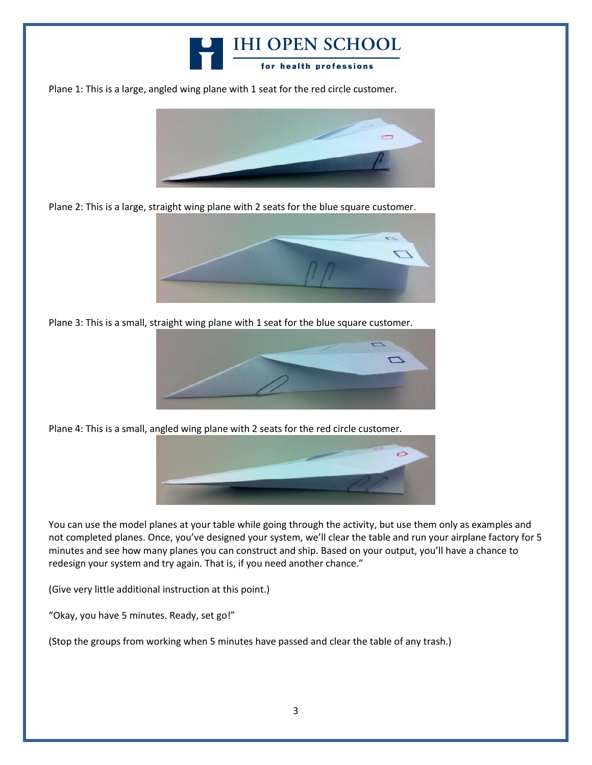

Plane 1: This is a large, angled wing plane with 1 seat for the red circle customer.



Plane 2: This is a large, straight wing plane with 2 seats for the blue square customer.



Plane 3: This is a small, straight wing plane with 1 seat for the blue square customer.



Plane 4: This is a small, angled wing plane with 2 seats for the red circle customer.



You can use the model planes at your table while going through the activity, but use them only as examples and not completed planes. Once, you've designed your system, we'll clear the table and run your airplane factory for 5 minutes and see how many planes you can construct and ship. Based on your output, you'll have a chance to redesign your system and try again. That is, if you need another chance."

(Give very little additional instruction at this point.)

"Okay, you have 5 minutes. Ready, set go!"

(Stop the groups from working when 5 minutes have passed and clear the table of any trash.)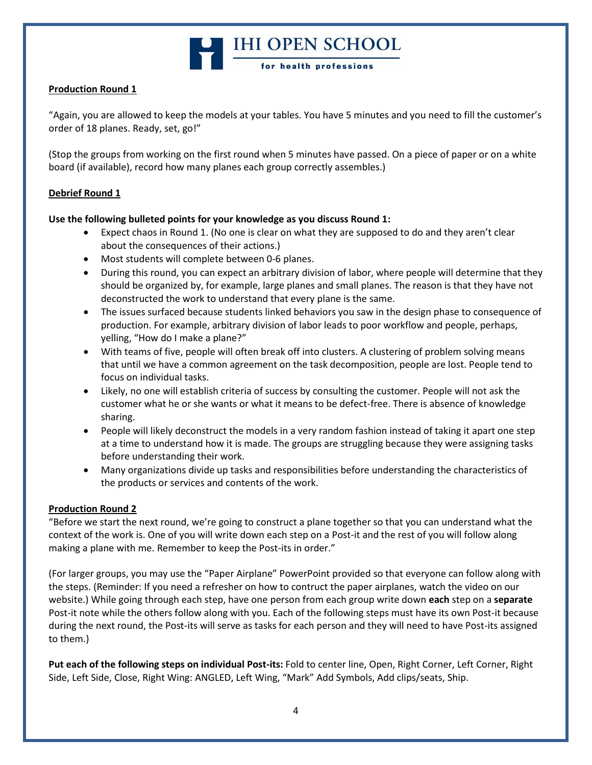# **Example 18 IHI OPEN SCHOOL**

#### **Production Round 1**

"Again, you are allowed to keep the models at your tables. You have 5 minutes and you need to fill the customer's order of 18 planes. Ready, set, go!"

(Stop the groups from working on the first round when 5 minutes have passed. On a piece of paper or on a white board (if available), record how many planes each group correctly assembles.)

#### **Debrief Round 1**

#### **Use the following bulleted points for your knowledge as you discuss Round 1:**

- Expect chaos in Round 1. (No one is clear on what they are supposed to do and they aren't clear about the consequences of their actions.)
- Most students will complete between 0-6 planes.
- During this round, you can expect an arbitrary division of labor, where people will determine that they should be organized by, for example, large planes and small planes. The reason is that they have not deconstructed the work to understand that every plane is the same.
- The issues surfaced because students linked behaviors you saw in the design phase to consequence of production. For example, arbitrary division of labor leads to poor workflow and people, perhaps, yelling, "How do I make a plane?"
- With teams of five, people will often break off into clusters. A clustering of problem solving means that until we have a common agreement on the task decomposition, people are lost. People tend to focus on individual tasks.
- Likely, no one will establish criteria of success by consulting the customer. People will not ask the customer what he or she wants or what it means to be defect-free. There is absence of knowledge sharing.
- People will likely deconstruct the models in a very random fashion instead of taking it apart one step at a time to understand how it is made. The groups are struggling because they were assigning tasks before understanding their work.
- Many organizations divide up tasks and responsibilities before understanding the characteristics of the products or services and contents of the work.

#### **Production Round 2**

"Before we start the next round, we're going to construct a plane together so that you can understand what the context of the work is. One of you will write down each step on a Post-it and the rest of you will follow along making a plane with me. Remember to keep the Post-its in order."

(For larger groups, you may use the "Paper Airplane" PowerPoint provided so that everyone can follow along with the steps. (Reminder: If you need a refresher on how to contruct the paper airplanes, watch the video on our website.) While going through each step, have one person from each group write down **each** step on a **separate** Post-it note while the others follow along with you. Each of the following steps must have its own Post-it because during the next round, the Post-its will serve as tasks for each person and they will need to have Post-its assigned to them.)

**Put each of the following steps on individual Post-its:** Fold to center line, Open, Right Corner, Left Corner, Right Side, Left Side, Close, Right Wing: ANGLED, Left Wing, "Mark" Add Symbols, Add clips/seats, Ship.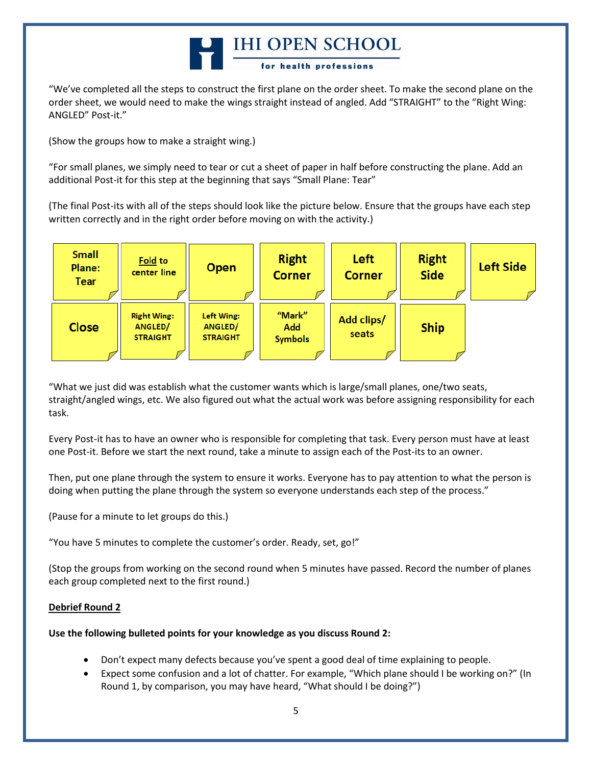# HI OPEN SCHOOL for health professions

"We've completed all the steps to construct the first plane on the order sheet. To make the second plane on the order sheet, we would need to make the wings straight instead of angled. Add "STRAIGHT" to the "Right Wing: ANGLED" Post-it."

(Show the groups how to make a straight wing.)

"For small planes, we simply need to tear or cut a sheet of paper in half before constructing the plane. Add an additional Post-it for this step at the beginning that says "Small Plane: Tear"

(The final Post-its with all of the steps should look like the picture below. Ensure that the groups have each step written correctly and in the right order before moving on with the activity.)



"What we just did was establish what the customer wants which is large/small planes, one/two seats, straight/angled wings, etc. We also figured out what the actual work was before assigning responsibility for each task.

Every Post-it has to have an owner who is responsible for completing that task. Every person must have at least one Post-it. Before we start the next round, take a minute to assign each of the Post-its to an owner.

Then, put one plane through the system to ensure it works. Everyone has to pay attention to what the person is doing when putting the plane through the system so everyone understands each step of the process."

(Pause for a minute to let groups do this.)

"You have 5 minutes to complete the customer's order. Ready, set, go!"

(Stop the groups from working on the second round when 5 minutes have passed. Record the number of planes each group completed next to the first round.)

#### **Debrief Round 2**

#### **Use the following bulleted points for your knowledge as you discuss Round 2:**

- Don't expect many defects because you've spent a good deal of time explaining to people.
- Expect some confusion and a lot of chatter. For example, "Which plane should I be working on?" (In Round 1, by comparison, you may have heard, "What should I be doing?")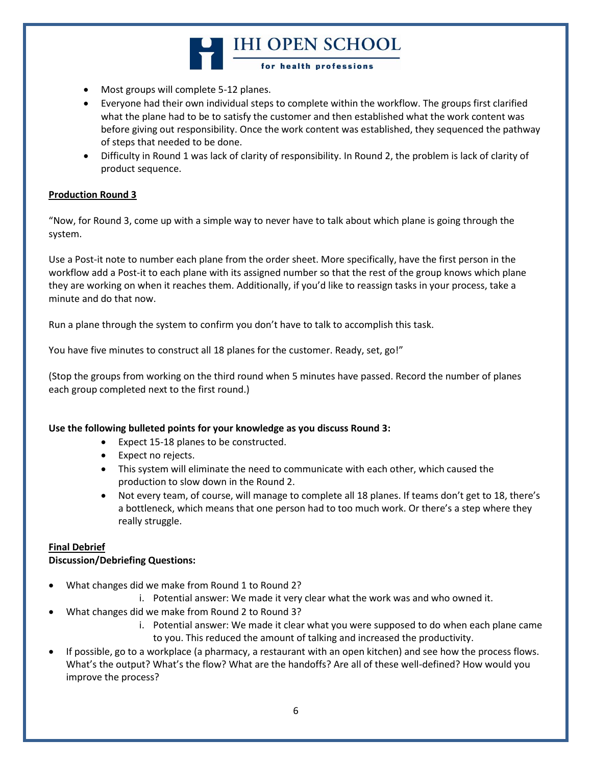# HI OPEN SCHOOL for health professions

- Most groups will complete 5-12 planes.
- Everyone had their own individual steps to complete within the workflow. The groups first clarified what the plane had to be to satisfy the customer and then established what the work content was before giving out responsibility. Once the work content was established, they sequenced the pathway of steps that needed to be done.
- Difficulty in Round 1 was lack of clarity of responsibility. In Round 2, the problem is lack of clarity of product sequence.

#### **Production Round 3**

"Now, for Round 3, come up with a simple way to never have to talk about which plane is going through the system.

Use a Post-it note to number each plane from the order sheet. More specifically, have the first person in the workflow add a Post-it to each plane with its assigned number so that the rest of the group knows which plane they are working on when it reaches them. Additionally, if you'd like to reassign tasks in your process, take a minute and do that now.

Run a plane through the system to confirm you don't have to talk to accomplish this task.

You have five minutes to construct all 18 planes for the customer. Ready, set, go!"

(Stop the groups from working on the third round when 5 minutes have passed. Record the number of planes each group completed next to the first round.)

#### **Use the following bulleted points for your knowledge as you discuss Round 3:**

- Expect 15-18 planes to be constructed.
- Expect no rejects.
- This system will eliminate the need to communicate with each other, which caused the production to slow down in the Round 2.
- Not every team, of course, will manage to complete all 18 planes. If teams don't get to 18, there's a bottleneck, which means that one person had to too much work. Or there's a step where they really struggle.

#### **Final Debrief**

#### **Discussion/Debriefing Questions:**

- What changes did we make from Round 1 to Round 2?
	- i. Potential answer: We made it very clear what the work was and who owned it.
- What changes did we make from Round 2 to Round 3?
	- i. Potential answer: We made it clear what you were supposed to do when each plane came to you. This reduced the amount of talking and increased the productivity.
- If possible, go to a workplace (a pharmacy, a restaurant with an open kitchen) and see how the process flows. What's the output? What's the flow? What are the handoffs? Are all of these well-defined? How would you improve the process?